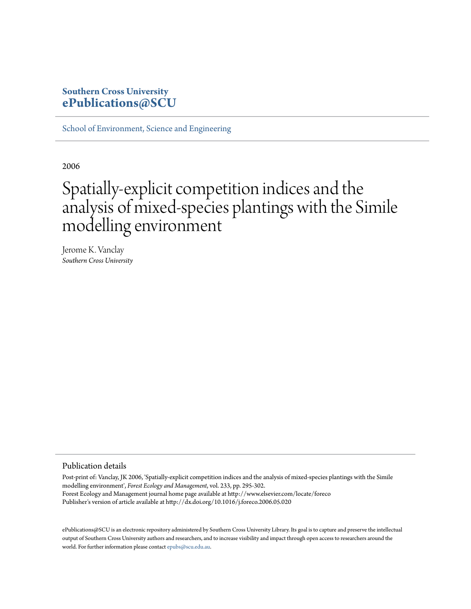### **Southern Cross University [ePublications@SCU](http://epubs.scu.edu.au)**

[School of Environment, Science and Engineering](http://epubs.scu.edu.au/esm_pubs)

2006

# Spatially-explicit competition indices and the analysis of mixed-species plantings with the Simile modelling environment

Jerome K. Vanclay *Southern Cross University*

#### Publication details

Post-print of: Vanclay, JK 2006, 'Spatially-explicit competition indices and the analysis of mixed-species plantings with the Simile modelling environment', *Forest Ecology and Management*, vol. 233, pp. 295-302. Forest Ecology and Management journal home page available at http://www.elsevier.com/locate/foreco Publisher's version of article available at http://dx.doi.org/10.1016/j.foreco.2006.05.020

ePublications@SCU is an electronic repository administered by Southern Cross University Library. Its goal is to capture and preserve the intellectual output of Southern Cross University authors and researchers, and to increase visibility and impact through open access to researchers around the world. For further information please contact [epubs@scu.edu.au](mailto:epubs@scu.edu.au).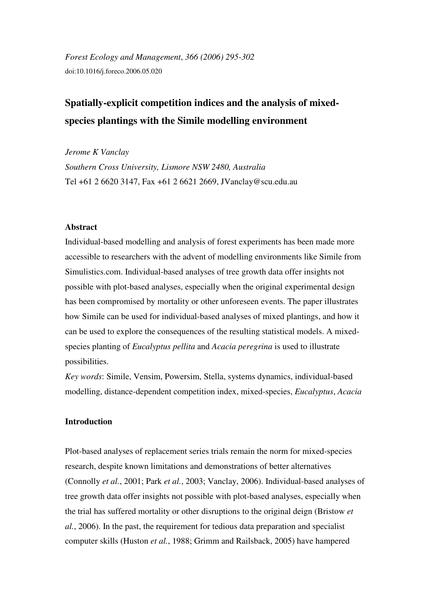*Forest Ecology and Management*, *366 (2006) 295-302*  doi:10.1016/j.foreco.2006.05.020

# **Spatially-explicit competition indices and the analysis of mixedspecies plantings with the Simile modelling environment**

*Jerome K Vanclay Southern Cross University, Lismore NSW 2480, Australia*  Tel +61 2 6620 3147, Fax +61 2 6621 2669, JVanclay@scu.edu.au

#### **Abstract**

Individual-based modelling and analysis of forest experiments has been made more accessible to researchers with the advent of modelling environments like Simile from Simulistics.com. Individual-based analyses of tree growth data offer insights not possible with plot-based analyses, especially when the original experimental design has been compromised by mortality or other unforeseen events. The paper illustrates how Simile can be used for individual-based analyses of mixed plantings, and how it can be used to explore the consequences of the resulting statistical models. A mixedspecies planting of *Eucalyptus pellita* and *Acacia peregrina* is used to illustrate possibilities.

*Key words*: Simile, Vensim, Powersim, Stella, systems dynamics, individual-based modelling, distance-dependent competition index, mixed-species, *Eucalyptus*, *Acacia*

#### **Introduction**

Plot-based analyses of replacement series trials remain the norm for mixed-species research, despite known limitations and demonstrations of better alternatives (Connolly *et al.*, 2001; Park *et al.*, 2003; Vanclay, 2006). Individual-based analyses of tree growth data offer insights not possible with plot-based analyses, especially when the trial has suffered mortality or other disruptions to the original deign (Bristow *et al.*, 2006). In the past, the requirement for tedious data preparation and specialist computer skills (Huston *et al.*, 1988; Grimm and Railsback, 2005) have hampered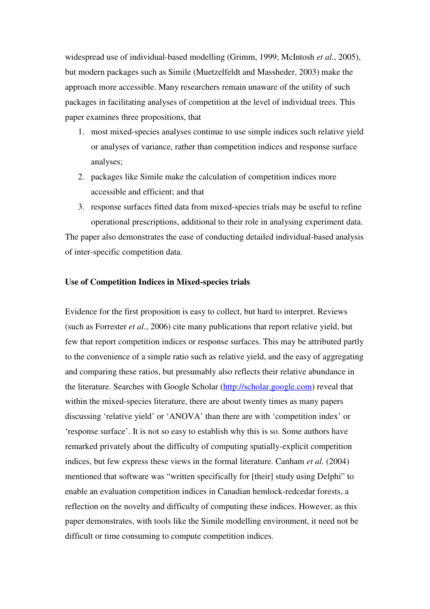widespread use of individual-based modelling (Grimm, 1999; McIntosh *et al.*, 2005), but modern packages such as Simile (Muetzelfeldt and Massheder, 2003) make the approach more accessible. Many researchers remain unaware of the utility of such packages in facilitating analyses of competition at the level of individual trees. This paper examines three propositions, that

- 1. most mixed-species analyses continue to use simple indices such relative yield or analyses of variance, rather than competition indices and response surface analyses;
- 2. packages like Simile make the calculation of competition indices more accessible and efficient; and that
- 3. response surfaces fitted data from mixed-species trials may be useful to refine operational prescriptions, additional to their role in analysing experiment data.

The paper also demonstrates the ease of conducting detailed individual-based analysis of inter-specific competition data.

#### **Use of Competition Indices in Mixed-species trials**

Evidence for the first proposition is easy to collect, but hard to interpret. Reviews (such as Forrester *et al.*, 2006) cite many publications that report relative yield, but few that report competition indices or response surfaces. This may be attributed partly to the convenience of a simple ratio such as relative yield, and the easy of aggregating and comparing these ratios, but presumably also reflects their relative abundance in the literature. Searches with Google Scholar (http://scholar.google.com) reveal that within the mixed-species literature, there are about twenty times as many papers discussing 'relative yield' or 'ANOVA' than there are with 'competition index' or 'response surface'. It is not so easy to establish why this is so. Some authors have remarked privately about the difficulty of computing spatially-explicit competition indices, but few express these views in the formal literature. Canham *et al.* (2004) mentioned that software was "written specifically for [their] study using Delphi" to enable an evaluation competition indices in Canadian hemlock-redcedar forests, a reflection on the novelty and difficulty of computing these indices. However, as this paper demonstrates, with tools like the Simile modelling environment, it need not be difficult or time consuming to compute competition indices.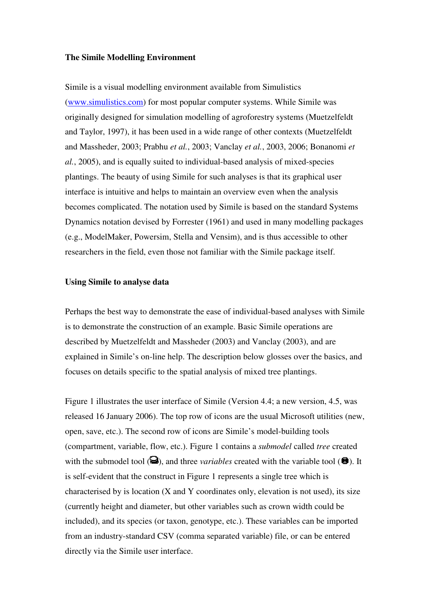#### **The Simile Modelling Environment**

Simile is a visual modelling environment available from Simulistics (www.simulistics.com) for most popular computer systems. While Simile was originally designed for simulation modelling of agroforestry systems (Muetzelfeldt and Taylor, 1997), it has been used in a wide range of other contexts (Muetzelfeldt and Massheder, 2003; Prabhu *et al.*, 2003; Vanclay *et al.*, 2003, 2006; Bonanomi *et al.*, 2005), and is equally suited to individual-based analysis of mixed-species plantings. The beauty of using Simile for such analyses is that its graphical user interface is intuitive and helps to maintain an overview even when the analysis becomes complicated. The notation used by Simile is based on the standard Systems Dynamics notation devised by Forrester (1961) and used in many modelling packages (e.g., ModelMaker, Powersim, Stella and Vensim), and is thus accessible to other researchers in the field, even those not familiar with the Simile package itself.

#### **Using Simile to analyse data**

Perhaps the best way to demonstrate the ease of individual-based analyses with Simile is to demonstrate the construction of an example. Basic Simile operations are described by Muetzelfeldt and Massheder (2003) and Vanclay (2003), and are explained in Simile's on-line help. The description below glosses over the basics, and focuses on details specific to the spatial analysis of mixed tree plantings.

Figure 1 illustrates the user interface of Simile (Version 4.4; a new version, 4.5, was released 16 January 2006). The top row of icons are the usual Microsoft utilities (new, open, save, etc.). The second row of icons are Simile's model-building tools (compartment, variable, flow, etc.). Figure 1 contains a *submodel* called *tree* created with the submodel tool  $(\triangleleft)$ , and three *variables* created with the variable tool  $(\triangleleft)$ . It is self-evident that the construct in Figure 1 represents a single tree which is characterised by is location (X and Y coordinates only, elevation is not used), its size (currently height and diameter, but other variables such as crown width could be included), and its species (or taxon, genotype, etc.). These variables can be imported from an industry-standard CSV (comma separated variable) file, or can be entered directly via the Simile user interface.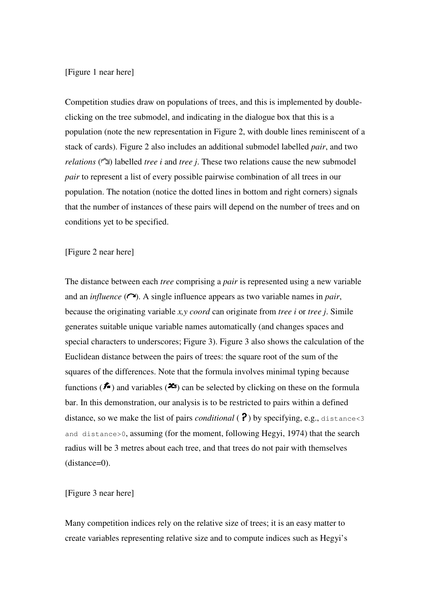#### [Figure 1 near here]

Competition studies draw on populations of trees, and this is implemented by doubleclicking on the tree submodel, and indicating in the dialogue box that this is a population (note the new representation in Figure 2, with double lines reminiscent of a stack of cards). Figure 2 also includes an additional submodel labelled *pair*, and two *relations*  $(\Box)$  labelled *tree i* and *tree j*. These two relations cause the new submodel *pair* to represent a list of every possible pairwise combination of all trees in our population. The notation (notice the dotted lines in bottom and right corners) signals that the number of instances of these pairs will depend on the number of trees and on conditions yet to be specified.

#### [Figure 2 near here]

The distance between each *tree* comprising a *pair* is represented using a new variable and an *influence*  $(\cap)$ . A single influence appears as two variable names in *pair*, because the originating variable *x,y coord* can originate from *tree i* or *tree j*. Simile generates suitable unique variable names automatically (and changes spaces and special characters to underscores; Figure 3). Figure 3 also shows the calculation of the Euclidean distance between the pairs of trees: the square root of the sum of the squares of the differences. Note that the formula involves minimal typing because functions ( $\mathbf{f}$ ) and variables ( $\mathbf{f}$ s) can be selected by clicking on these on the formula bar. In this demonstration, our analysis is to be restricted to pairs within a defined distance, so we make the list of pairs *conditional* ( $\binom{2}{3}$  by specifying, e.g., distance <3 and distance>0, assuming (for the moment, following Hegyi, 1974) that the search radius will be 3 metres about each tree, and that trees do not pair with themselves (distance=0).

#### [Figure 3 near here]

Many competition indices rely on the relative size of trees; it is an easy matter to create variables representing relative size and to compute indices such as Hegyi's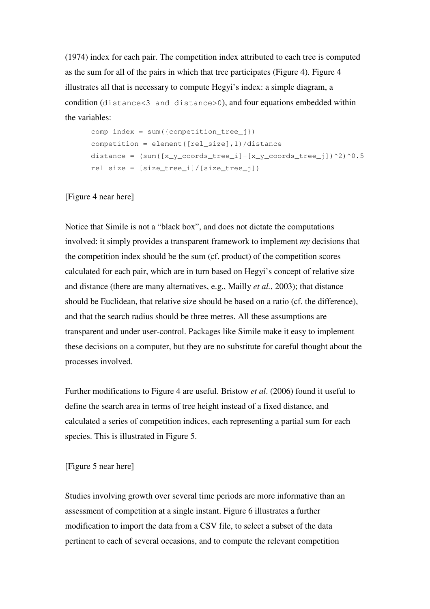(1974) index for each pair. The competition index attributed to each tree is computed as the sum for all of the pairs in which that tree participates (Figure 4). Figure 4 illustrates all that is necessary to compute Hegyi's index: a simple diagram, a condition (distance<3 and distance>0), and four equations embedded within the variables:

```
comp index = sum(fcomponent)competition = element([rel_size],1)/distance 
distance = (sum([x y coords tree i]-[x y coords tree j])^2)^0.5
rel size = [size tree_i]/[size tree_i])
```
#### [Figure 4 near here]

Notice that Simile is not a "black box", and does not dictate the computations involved: it simply provides a transparent framework to implement *my* decisions that the competition index should be the sum (cf. product) of the competition scores calculated for each pair, which are in turn based on Hegyi's concept of relative size and distance (there are many alternatives, e.g., Mailly *et al.*, 2003); that distance should be Euclidean, that relative size should be based on a ratio (cf. the difference), and that the search radius should be three metres. All these assumptions are transparent and under user-control. Packages like Simile make it easy to implement these decisions on a computer, but they are no substitute for careful thought about the processes involved.

Further modifications to Figure 4 are useful. Bristow *et al*. (2006) found it useful to define the search area in terms of tree height instead of a fixed distance, and calculated a series of competition indices, each representing a partial sum for each species. This is illustrated in Figure 5.

#### [Figure 5 near here]

Studies involving growth over several time periods are more informative than an assessment of competition at a single instant. Figure 6 illustrates a further modification to import the data from a CSV file, to select a subset of the data pertinent to each of several occasions, and to compute the relevant competition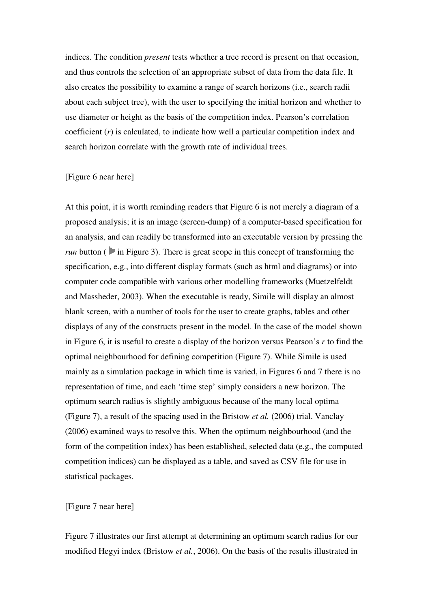indices. The condition *present* tests whether a tree record is present on that occasion, and thus controls the selection of an appropriate subset of data from the data file. It also creates the possibility to examine a range of search horizons (i.e., search radii about each subject tree), with the user to specifying the initial horizon and whether to use diameter or height as the basis of the competition index. Pearson's correlation coefficient (*r*) is calculated, to indicate how well a particular competition index and search horizon correlate with the growth rate of individual trees.

#### [Figure 6 near here]

At this point, it is worth reminding readers that Figure 6 is not merely a diagram of a proposed analysis; it is an image (screen-dump) of a computer-based specification for an analysis, and can readily be transformed into an executable version by pressing the *run* button ( $\triangleright$  in Figure 3). There is great scope in this concept of transforming the specification, e.g., into different display formats (such as html and diagrams) or into computer code compatible with various other modelling frameworks (Muetzelfeldt and Massheder, 2003). When the executable is ready, Simile will display an almost blank screen, with a number of tools for the user to create graphs, tables and other displays of any of the constructs present in the model. In the case of the model shown in Figure 6, it is useful to create a display of the horizon versus Pearson's *r* to find the optimal neighbourhood for defining competition (Figure 7). While Simile is used mainly as a simulation package in which time is varied, in Figures 6 and 7 there is no representation of time, and each 'time step' simply considers a new horizon. The optimum search radius is slightly ambiguous because of the many local optima (Figure 7), a result of the spacing used in the Bristow *et al.* (2006) trial. Vanclay (2006) examined ways to resolve this. When the optimum neighbourhood (and the form of the competition index) has been established, selected data (e.g., the computed competition indices) can be displayed as a table, and saved as CSV file for use in statistical packages.

[Figure 7 near here]

Figure 7 illustrates our first attempt at determining an optimum search radius for our modified Hegyi index (Bristow *et al.*, 2006). On the basis of the results illustrated in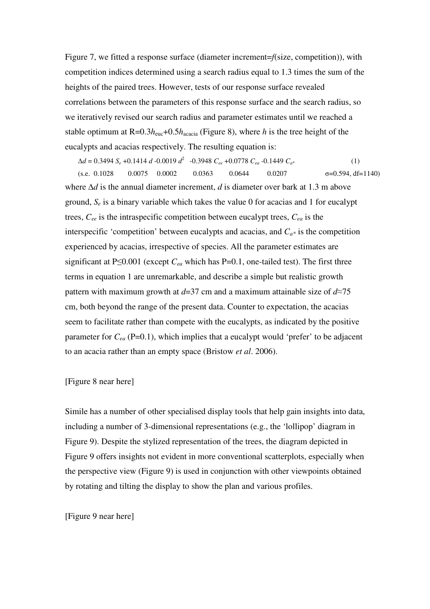Figure 7, we fitted a response surface (diameter increment=*f*(size, competition)), with competition indices determined using a search radius equal to 1.3 times the sum of the heights of the paired trees. However, tests of our response surface revealed correlations between the parameters of this response surface and the search radius, so we iteratively revised our search radius and parameter estimates until we reached a stable optimum at  $R=0.3h_{\text{euc}}+0.5h_{\text{accia}}$  (Figure 8), where *h* is the tree height of the eucalypts and acacias respectively. The resulting equation is:

 $\Delta d = 0.3494 S_e + 0.1414 d - 0.0019 d^2 - 0.3948 C_{ee} + 0.0778 C_{ea} - 0.1449 C_{a*}$  (1)  $($ s.e. 0.1028 0.0075 0.0002 0.0363 0.0644 0.0207  $\sigma$ =0.594, df=1140) where ∆*d* is the annual diameter increment, *d* is diameter over bark at 1.3 m above ground,  $S_e$  is a binary variable which takes the value 0 for acacias and 1 for eucalypt trees, *Cee* is the intraspecific competition between eucalypt trees, *Cea* is the interspecific 'competition' between eucalypts and acacias, and *Ca\** is the competition experienced by acacias, irrespective of species. All the parameter estimates are significant at P $\leq$ 0.001 (except  $C_{ea}$  which has P=0.1, one-tailed test). The first three terms in equation 1 are unremarkable, and describe a simple but realistic growth pattern with maximum growth at *d*=37 cm and a maximum attainable size of *d*≈75 cm, both beyond the range of the present data. Counter to expectation, the acacias seem to facilitate rather than compete with the eucalypts, as indicated by the positive parameter for  $C_{ea}$  (P=0.1), which implies that a eucalypt would 'prefer' to be adjacent to an acacia rather than an empty space (Bristow *et al*. 2006).

#### [Figure 8 near here]

Simile has a number of other specialised display tools that help gain insights into data, including a number of 3-dimensional representations (e.g., the 'lollipop' diagram in Figure 9). Despite the stylized representation of the trees, the diagram depicted in Figure 9 offers insights not evident in more conventional scatterplots, especially when the perspective view (Figure 9) is used in conjunction with other viewpoints obtained by rotating and tilting the display to show the plan and various profiles.

#### [Figure 9 near here]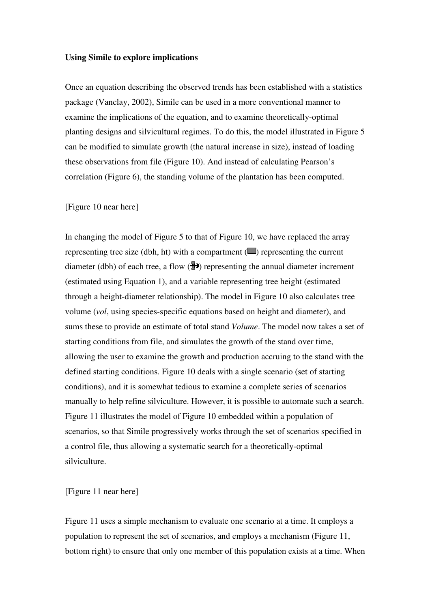#### **Using Simile to explore implications**

Once an equation describing the observed trends has been established with a statistics package (Vanclay, 2002), Simile can be used in a more conventional manner to examine the implications of the equation, and to examine theoretically-optimal planting designs and silvicultural regimes. To do this, the model illustrated in Figure 5 can be modified to simulate growth (the natural increase in size), instead of loading these observations from file (Figure 10). And instead of calculating Pearson's correlation (Figure 6), the standing volume of the plantation has been computed.

#### [Figure 10 near here]

In changing the model of Figure 5 to that of Figure 10, we have replaced the array representing tree size (dbh, ht) with a compartment  $(\blacksquare)$  representing the current diameter (dbh) of each tree, a flow  $(\frac{R}{2})$  representing the annual diameter increment (estimated using Equation 1), and a variable representing tree height (estimated through a height-diameter relationship). The model in Figure 10 also calculates tree volume (*vol*, using species-specific equations based on height and diameter), and sums these to provide an estimate of total stand *Volume*. The model now takes a set of starting conditions from file, and simulates the growth of the stand over time, allowing the user to examine the growth and production accruing to the stand with the defined starting conditions. Figure 10 deals with a single scenario (set of starting conditions), and it is somewhat tedious to examine a complete series of scenarios manually to help refine silviculture. However, it is possible to automate such a search. Figure 11 illustrates the model of Figure 10 embedded within a population of scenarios, so that Simile progressively works through the set of scenarios specified in a control file, thus allowing a systematic search for a theoretically-optimal silviculture.

#### [Figure 11 near here]

Figure 11 uses a simple mechanism to evaluate one scenario at a time. It employs a population to represent the set of scenarios, and employs a mechanism (Figure 11, bottom right) to ensure that only one member of this population exists at a time. When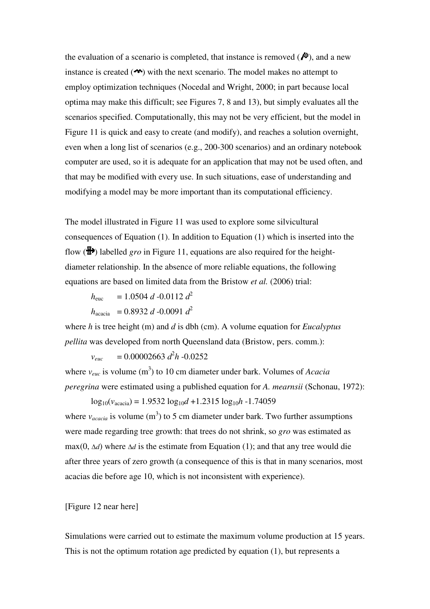the evaluation of a scenario is completed, that instance is removed  $(\overrightarrow{P})$ , and a new instance is created  $($ <sup> $\bullet$ </sup> $\bullet$  $)$  with the next scenario. The model makes no attempt to employ optimization techniques (Nocedal and Wright, 2000; in part because local optima may make this difficult; see Figures 7, 8 and 13), but simply evaluates all the scenarios specified. Computationally, this may not be very efficient, but the model in Figure 11 is quick and easy to create (and modify), and reaches a solution overnight, even when a long list of scenarios (e.g., 200-300 scenarios) and an ordinary notebook computer are used, so it is adequate for an application that may not be used often, and that may be modified with every use. In such situations, ease of understanding and modifying a model may be more important than its computational efficiency.

The model illustrated in Figure 11 was used to explore some silvicultural consequences of Equation (1). In addition to Equation (1) which is inserted into the flow  $(\overline{\mathbb{B}})$  labelled *gro* in Figure 11, equations are also required for the heightdiameter relationship. In the absence of more reliable equations, the following equations are based on limited data from the Bristow *et al.* (2006) trial:

 $h_{\text{euc}}$  = 1.0504 *d* -0.0112 *d*<sup>2</sup>  $h_{\text{accia}}$  = 0.8932 *d* -0.0091  $d^2$ 

where *h* is tree height (m) and *d* is dbh (cm). A volume equation for *Eucalyptus pellita* was developed from north Queensland data (Bristow, pers. comm.):

 $v_{euc}$  = 0.00002663  $d^2h$  -0.0252

where  $v_{euc}$  is volume (m<sup>3</sup>) to 10 cm diameter under bark. Volumes of *Acacia peregrina* were estimated using a published equation for *A. mearnsii* (Schonau, 1972):

 $log_{10}(v_{\text{accia}}) = 1.9532 log_{10}d + 1.2315 log_{10}h - 1.74059$ where  $v_{\text{accia}}$  is volume (m<sup>3</sup>) to 5 cm diameter under bark. Two further assumptions were made regarding tree growth: that trees do not shrink, so *gro* was estimated as max(0, ∆*d*) where ∆*d* is the estimate from Equation (1); and that any tree would die after three years of zero growth (a consequence of this is that in many scenarios, most acacias die before age 10, which is not inconsistent with experience).

#### [Figure 12 near here]

Simulations were carried out to estimate the maximum volume production at 15 years. This is not the optimum rotation age predicted by equation (1), but represents a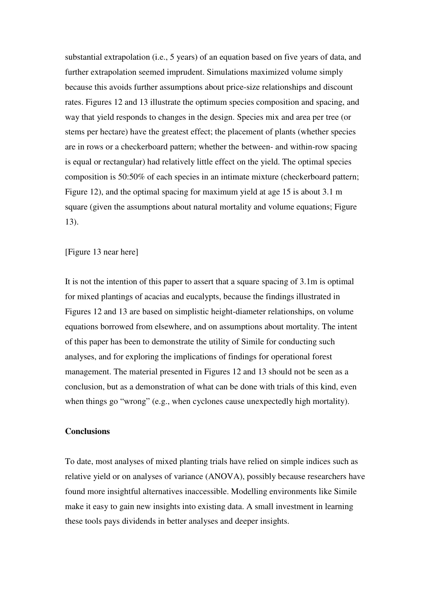substantial extrapolation (i.e., 5 years) of an equation based on five years of data, and further extrapolation seemed imprudent. Simulations maximized volume simply because this avoids further assumptions about price-size relationships and discount rates. Figures 12 and 13 illustrate the optimum species composition and spacing, and way that yield responds to changes in the design. Species mix and area per tree (or stems per hectare) have the greatest effect; the placement of plants (whether species are in rows or a checkerboard pattern; whether the between- and within-row spacing is equal or rectangular) had relatively little effect on the yield. The optimal species composition is 50:50% of each species in an intimate mixture (checkerboard pattern; Figure 12), and the optimal spacing for maximum yield at age 15 is about 3.1 m square (given the assumptions about natural mortality and volume equations; Figure 13).

#### [Figure 13 near here]

It is not the intention of this paper to assert that a square spacing of 3.1m is optimal for mixed plantings of acacias and eucalypts, because the findings illustrated in Figures 12 and 13 are based on simplistic height-diameter relationships, on volume equations borrowed from elsewhere, and on assumptions about mortality. The intent of this paper has been to demonstrate the utility of Simile for conducting such analyses, and for exploring the implications of findings for operational forest management. The material presented in Figures 12 and 13 should not be seen as a conclusion, but as a demonstration of what can be done with trials of this kind, even when things go "wrong" (e.g., when cyclones cause unexpectedly high mortality).

#### **Conclusions**

To date, most analyses of mixed planting trials have relied on simple indices such as relative yield or on analyses of variance (ANOVA), possibly because researchers have found more insightful alternatives inaccessible. Modelling environments like Simile make it easy to gain new insights into existing data. A small investment in learning these tools pays dividends in better analyses and deeper insights.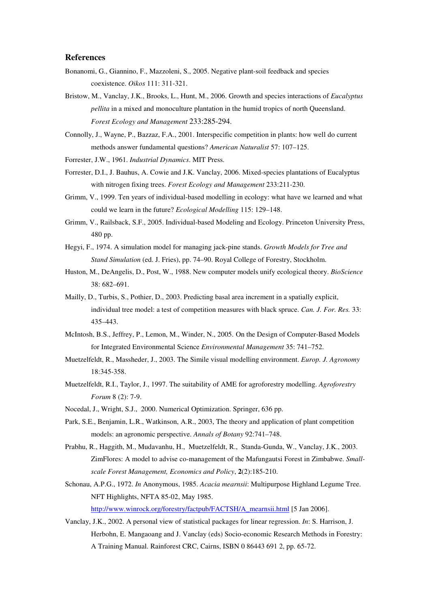#### **References**

- Bonanomi, G., Giannino, F., Mazzoleni, S., 2005. Negative plant-soil feedback and species coexistence. *Oikos* 111: 311-321.
- Bristow, M., Vanclay, J.K., Brooks, L., Hunt, M., 2006. Growth and species interactions of *Eucalyptus pellita* in a mixed and monoculture plantation in the humid tropics of north Queensland. *Forest Ecology and Management* 233:285-294.
- Connolly, J., Wayne, P., Bazzaz, F.A., 2001. Interspecific competition in plants: how well do current methods answer fundamental questions? *American Naturalist* 57: 107–125.
- Forrester, J.W., 1961. *Industrial Dynamics*. MIT Press.
- Forrester, D.I., J. Bauhus, A. Cowie and J.K. Vanclay, 2006. Mixed-species plantations of Eucalyptus with nitrogen fixing trees. *Forest Ecology and Management* 233:211-230.
- Grimm, V., 1999. Ten years of individual-based modelling in ecology: what have we learned and what could we learn in the future? *Ecological Modelling* 115: 129–148.
- Grimm, V., Railsback, S.F., 2005. Individual-based Modeling and Ecology. Princeton University Press, 480 pp.
- Hegyi, F., 1974. A simulation model for managing jack-pine stands. *Growth Models for Tree and Stand Simulation* (ed. J. Fries), pp. 74–90. Royal College of Forestry, Stockholm.
- Huston, M., DeAngelis, D., Post, W., 1988. New computer models unify ecological theory. *BioScience* 38: 682–691.
- Mailly, D., Turbis, S., Pothier, D., 2003. Predicting basal area increment in a spatially explicit, individual tree model: a test of competition measures with black spruce. *Can. J. For. Res.* 33: 435–443.
- McIntosh, B.S., Jeffrey, P., Lemon, M., Winder, N., 2005. On the Design of Computer-Based Models for Integrated Environmental Science *Environmental Management* 35: 741–752.
- Muetzelfeldt, R., Massheder, J., 2003. The Simile visual modelling environment. *Europ. J. Agronomy* 18:345-358.
- Muetzelfeldt, R.I., Taylor, J., 1997. The suitability of AME for agroforestry modelling. *Agroforestry Forum* 8 (2): 7-9.
- Nocedal, J., Wright, S.J., 2000. Numerical Optimization. Springer, 636 pp.
- Park, S.E., Benjamin, L.R., Watkinson, A.R., 2003, The theory and application of plant competition models: an agronomic perspective. *Annals of Botany* 92:741–748.
- Prabhu, R., Haggith, M., Mudavanhu, H., Muetzelfeldt, R., Standa-Gunda, W., Vanclay, J.K., 2003. ZimFlores: A model to advise co-management of the Mafungautsi Forest in Zimbabwe. *Smallscale Forest Management, Economics and Policy*, **2**(2):185-210.
- Schonau, A.P.G., 1972. *In* Anonymous, 1985. *Acacia mearnsii*: Multipurpose Highland Legume Tree. NFT Highlights, NFTA 85-02, May 1985.
	- http://www.winrock.org/forestry/factpub/FACTSH/A\_mearnsii.html [5 Jan 2006].
- Vanclay, J.K., 2002. A personal view of statistical packages for linear regression. *In*: S. Harrison, J. Herbohn, E. Mangaoang and J. Vanclay (eds) Socio-economic Research Methods in Forestry: A Training Manual. Rainforest CRC, Cairns, ISBN 0 86443 691 2, pp. 65-72.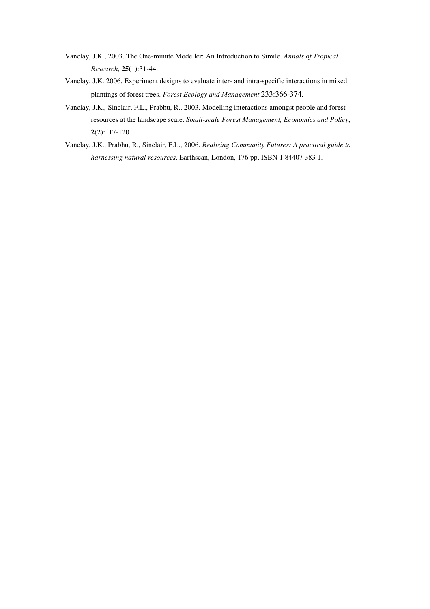- Vanclay, J.K., 2003. The One-minute Modeller: An Introduction to Simile. *Annals of Tropical Research*, **25**(1):31-44.
- Vanclay, J.K. 2006. Experiment designs to evaluate inter- and intra-specific interactions in mixed plantings of forest trees. *Forest Ecology and Management* 233:366-374.
- Vanclay, J.K.*,* Sinclair, F.L., Prabhu, R., 2003. Modelling interactions amongst people and forest resources at the landscape scale. *Small-scale Forest Management, Economics and Policy*, **2**(2):117-120.
- Vanclay, J.K., Prabhu, R., Sinclair, F.L., 2006. *Realizing Community Futures: A practical guide to harnessing natural resources*. Earthscan, London, 176 pp, ISBN 1 84407 383 1.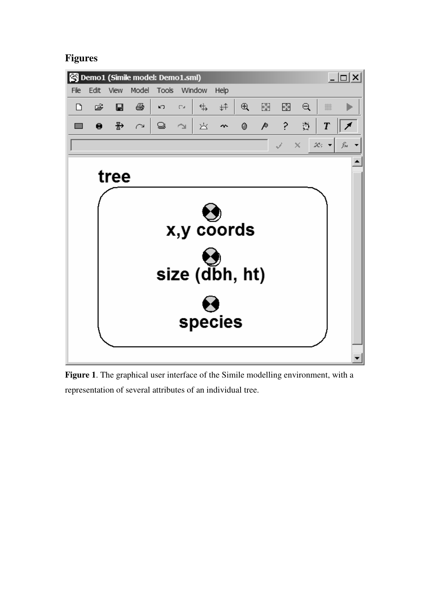## **Figures**



**Figure 1**. The graphical user interface of the Simile modelling environment, with a representation of several attributes of an individual tree.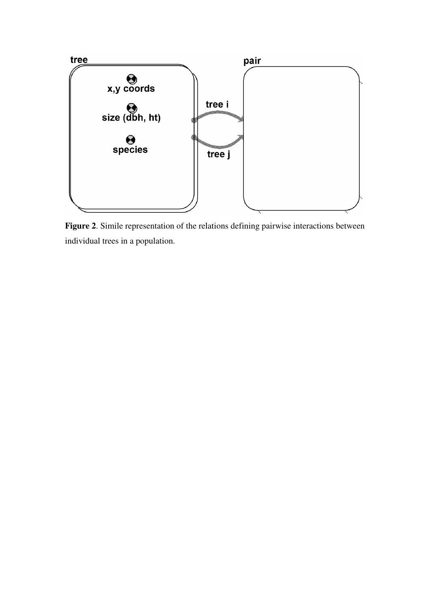

**Figure 2**. Simile representation of the relations defining pairwise interactions between individual trees in a population.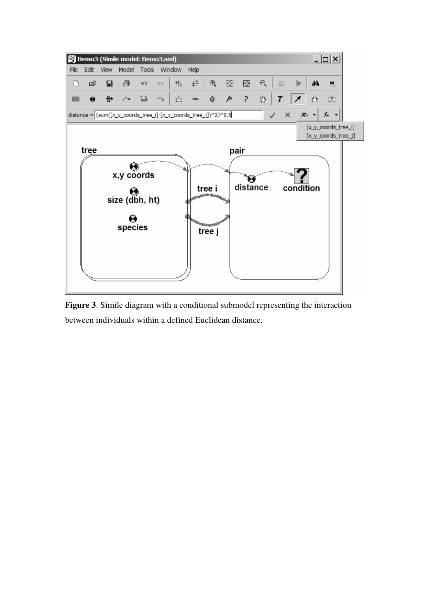

**Figure 3**. Simile diagram with a conditional submodel representing the interaction between individuals within a defined Euclidean distance.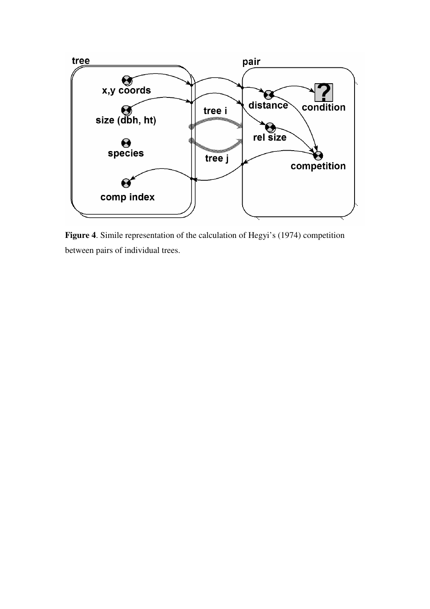

**Figure 4**. Simile representation of the calculation of Hegyi's (1974) competition between pairs of individual trees.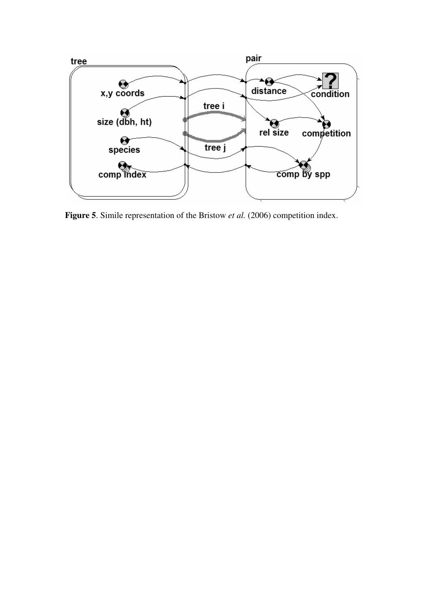

**Figure 5**. Simile representation of the Bristow *et al.* (2006) competition index.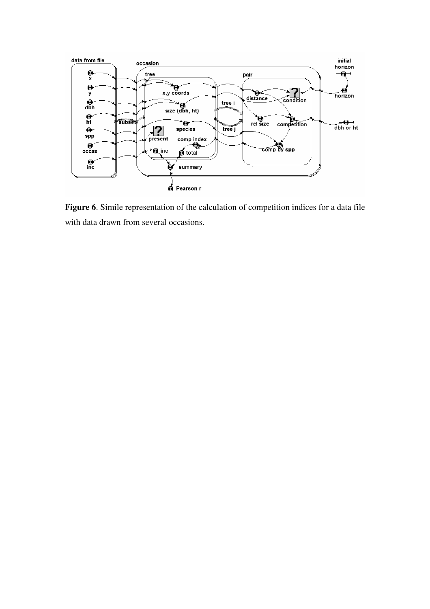

**Figure 6**. Simile representation of the calculation of competition indices for a data file with data drawn from several occasions.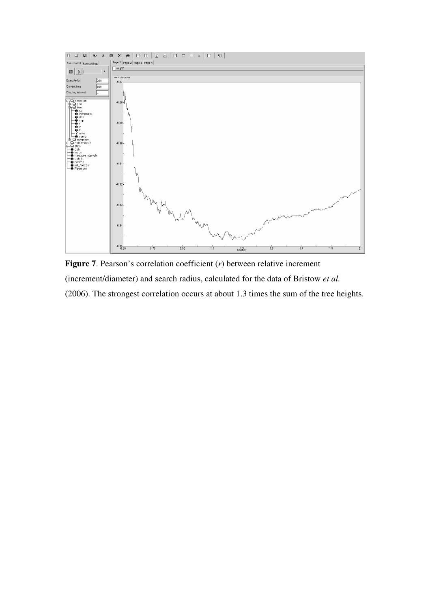

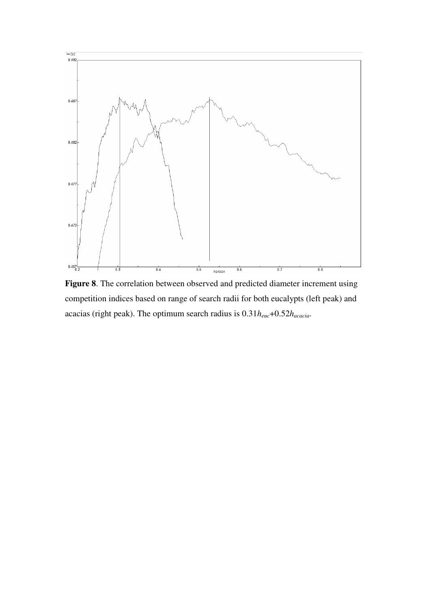

**Figure 8**. The correlation between observed and predicted diameter increment using competition indices based on range of search radii for both eucalypts (left peak) and acacias (right peak). The optimum search radius is 0.31*heuc*+0.52*hacacia*.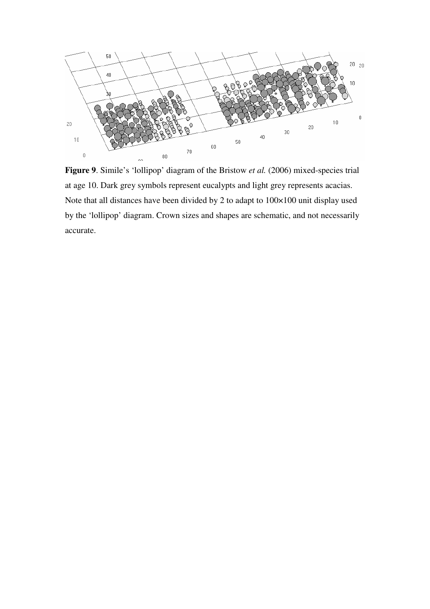

Figure 9. Simile's 'lollipop' diagram of the Bristow *et al.* (2006) mixed-species trial at age 10. Dark grey symbols represent eucalypts and light grey represents acacias. Note that all distances have been divided by 2 to adapt to 100×100 unit display used by the 'lollipop' diagram. Crown sizes and shapes are schematic, and not necessarily accurate.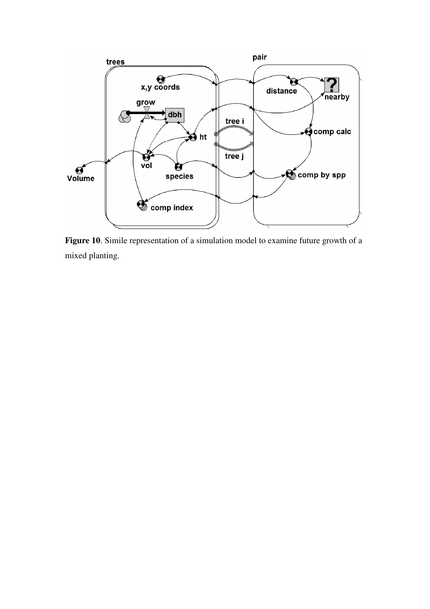

**Figure 10**. Simile representation of a simulation model to examine future growth of a mixed planting.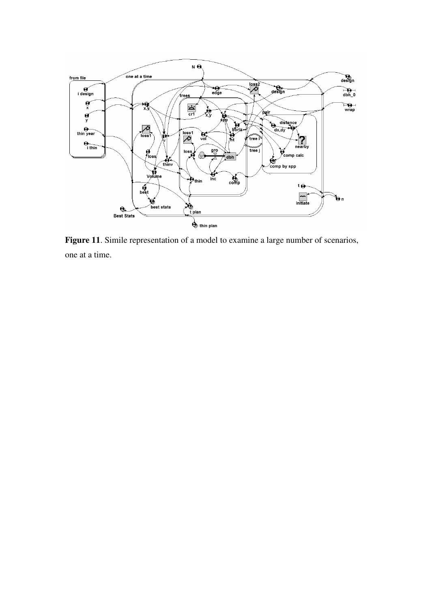

**Figure 11**. Simile representation of a model to examine a large number of scenarios, one at a time.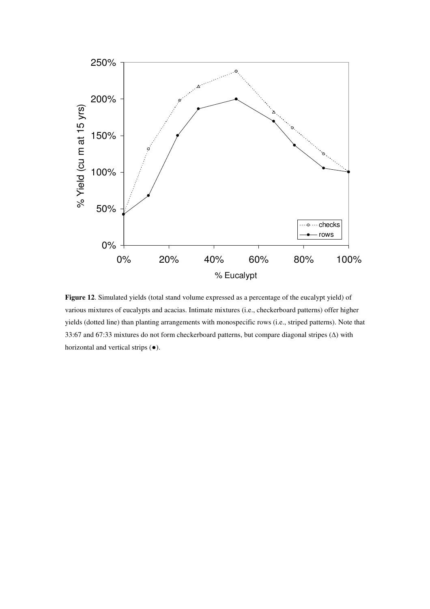

**Figure 12**. Simulated yields (total stand volume expressed as a percentage of the eucalypt yield) of various mixtures of eucalypts and acacias. Intimate mixtures (i.e., checkerboard patterns) offer higher yields (dotted line) than planting arrangements with monospecific rows (i.e., striped patterns). Note that 33:67 and 67:33 mixtures do not form checkerboard patterns, but compare diagonal stripes (∆) with horizontal and vertical strips (●).